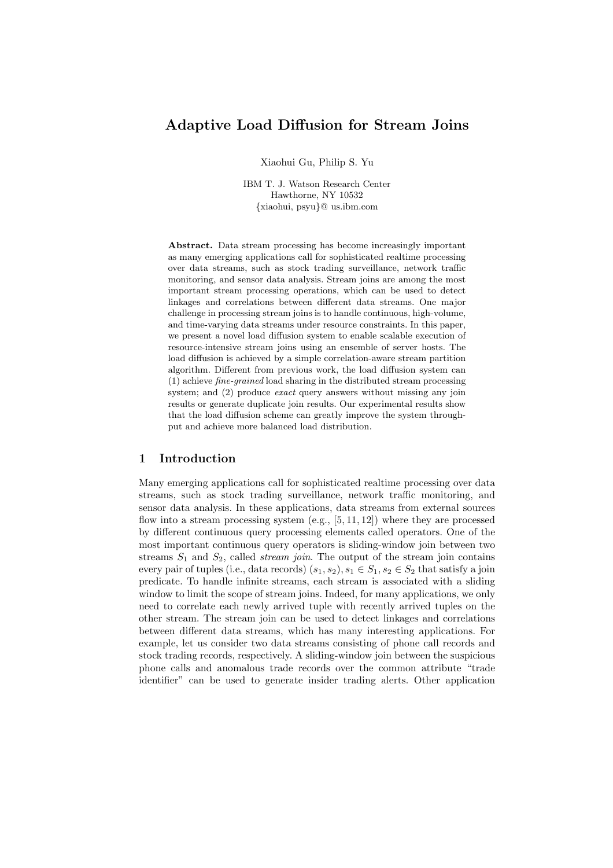# Adaptive Load Diffusion for Stream Joins

Xiaohui Gu, Philip S. Yu

IBM T. J. Watson Research Center Hawthorne, NY 10532 {xiaohui, psyu}@ us.ibm.com

Abstract. Data stream processing has become increasingly important as many emerging applications call for sophisticated realtime processing over data streams, such as stock trading surveillance, network traffic monitoring, and sensor data analysis. Stream joins are among the most important stream processing operations, which can be used to detect linkages and correlations between different data streams. One major challenge in processing stream joins is to handle continuous, high-volume, and time-varying data streams under resource constraints. In this paper, we present a novel load diffusion system to enable scalable execution of resource-intensive stream joins using an ensemble of server hosts. The load diffusion is achieved by a simple correlation-aware stream partition algorithm. Different from previous work, the load diffusion system can (1) achieve fine-grained load sharing in the distributed stream processing system; and (2) produce *exact* query answers without missing any join results or generate duplicate join results. Our experimental results show that the load diffusion scheme can greatly improve the system throughput and achieve more balanced load distribution.

# 1 Introduction

Many emerging applications call for sophisticated realtime processing over data streams, such as stock trading surveillance, network traffic monitoring, and sensor data analysis. In these applications, data streams from external sources flow into a stream processing system  $(e.g., [5, 11, 12])$  where they are processed by different continuous query processing elements called operators. One of the most important continuous query operators is sliding-window join between two streams  $S_1$  and  $S_2$ , called *stream join*. The output of the stream join contains every pair of tuples (i.e., data records)  $(s_1, s_2), s_1 \in S_1, s_2 \in S_2$  that satisfy a join predicate. To handle infinite streams, each stream is associated with a sliding window to limit the scope of stream joins. Indeed, for many applications, we only need to correlate each newly arrived tuple with recently arrived tuples on the other stream. The stream join can be used to detect linkages and correlations between different data streams, which has many interesting applications. For example, let us consider two data streams consisting of phone call records and stock trading records, respectively. A sliding-window join between the suspicious phone calls and anomalous trade records over the common attribute "trade identifier" can be used to generate insider trading alerts. Other application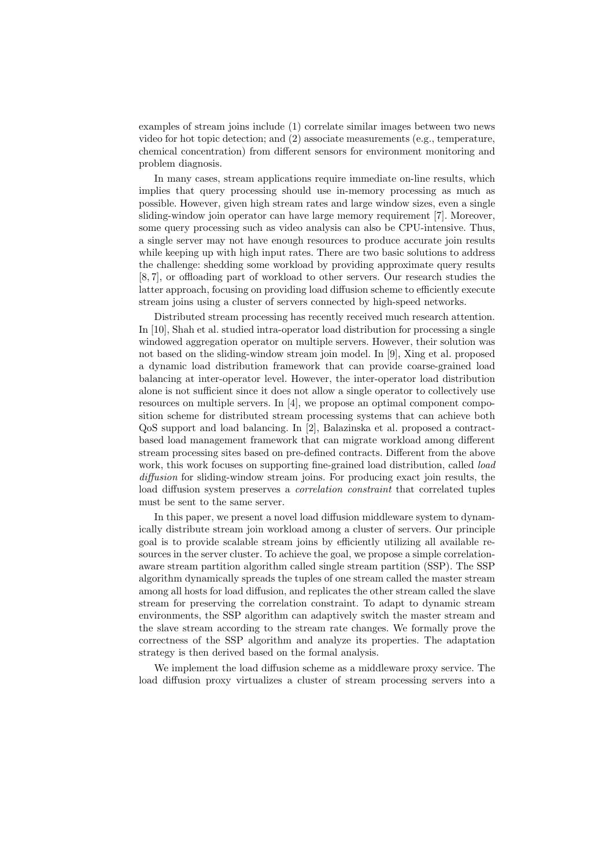examples of stream joins include (1) correlate similar images between two news video for hot topic detection; and (2) associate measurements (e.g., temperature, chemical concentration) from different sensors for environment monitoring and problem diagnosis.

In many cases, stream applications require immediate on-line results, which implies that query processing should use in-memory processing as much as possible. However, given high stream rates and large window sizes, even a single sliding-window join operator can have large memory requirement [7]. Moreover, some query processing such as video analysis can also be CPU-intensive. Thus, a single server may not have enough resources to produce accurate join results while keeping up with high input rates. There are two basic solutions to address the challenge: shedding some workload by providing approximate query results [8, 7], or offloading part of workload to other servers. Our research studies the latter approach, focusing on providing load diffusion scheme to efficiently execute stream joins using a cluster of servers connected by high-speed networks.

Distributed stream processing has recently received much research attention. In [10], Shah et al. studied intra-operator load distribution for processing a single windowed aggregation operator on multiple servers. However, their solution was not based on the sliding-window stream join model. In [9], Xing et al. proposed a dynamic load distribution framework that can provide coarse-grained load balancing at inter-operator level. However, the inter-operator load distribution alone is not sufficient since it does not allow a single operator to collectively use resources on multiple servers. In [4], we propose an optimal component composition scheme for distributed stream processing systems that can achieve both QoS support and load balancing. In [2], Balazinska et al. proposed a contractbased load management framework that can migrate workload among different stream processing sites based on pre-defined contracts. Different from the above work, this work focuses on supporting fine-grained load distribution, called *load* diffusion for sliding-window stream joins. For producing exact join results, the load diffusion system preserves a correlation constraint that correlated tuples must be sent to the same server.

In this paper, we present a novel load diffusion middleware system to dynamically distribute stream join workload among a cluster of servers. Our principle goal is to provide scalable stream joins by efficiently utilizing all available resources in the server cluster. To achieve the goal, we propose a simple correlationaware stream partition algorithm called single stream partition (SSP). The SSP algorithm dynamically spreads the tuples of one stream called the master stream among all hosts for load diffusion, and replicates the other stream called the slave stream for preserving the correlation constraint. To adapt to dynamic stream environments, the SSP algorithm can adaptively switch the master stream and the slave stream according to the stream rate changes. We formally prove the correctness of the SSP algorithm and analyze its properties. The adaptation strategy is then derived based on the formal analysis.

We implement the load diffusion scheme as a middleware proxy service. The load diffusion proxy virtualizes a cluster of stream processing servers into a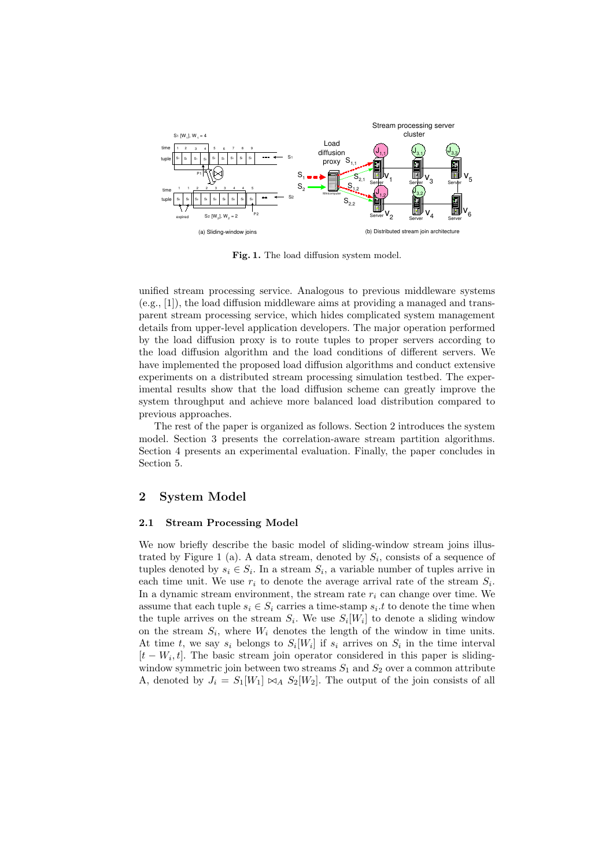

Fig. 1. The load diffusion system model.

unified stream processing service. Analogous to previous middleware systems (e.g., [1]), the load diffusion middleware aims at providing a managed and transparent stream processing service, which hides complicated system management details from upper-level application developers. The major operation performed by the load diffusion proxy is to route tuples to proper servers according to the load diffusion algorithm and the load conditions of different servers. We have implemented the proposed load diffusion algorithms and conduct extensive experiments on a distributed stream processing simulation testbed. The experimental results show that the load diffusion scheme can greatly improve the system throughput and achieve more balanced load distribution compared to previous approaches.

The rest of the paper is organized as follows. Section 2 introduces the system model. Section 3 presents the correlation-aware stream partition algorithms. Section 4 presents an experimental evaluation. Finally, the paper concludes in Section 5.

## 2 System Model

### 2.1 Stream Processing Model

We now briefly describe the basic model of sliding-window stream joins illustrated by Figure 1 (a). A data stream, denoted by  $S_i$ , consists of a sequence of tuples denoted by  $s_i \in S_i$ . In a stream  $S_i$ , a variable number of tuples arrive in each time unit. We use  $r_i$  to denote the average arrival rate of the stream  $S_i$ . In a dynamic stream environment, the stream rate  $r_i$  can change over time. We assume that each tuple  $s_i \in S_i$  carries a time-stamp  $s_i \cdot t$  to denote the time when the tuple arrives on the stream  $S_i$ . We use  $S_i[W_i]$  to denote a sliding window on the stream  $S_i$ , where  $W_i$  denotes the length of the window in time units. At time t, we say  $s_i$  belongs to  $S_i[W_i]$  if  $s_i$  arrives on  $S_i$  in the time interval  $[t - W_i, t]$ . The basic stream join operator considered in this paper is slidingwindow symmetric join between two streams  $S_1$  and  $S_2$  over a common attribute A, denoted by  $J_i = S_1[W_1] \bowtie_A S_2[W_2]$ . The output of the join consists of all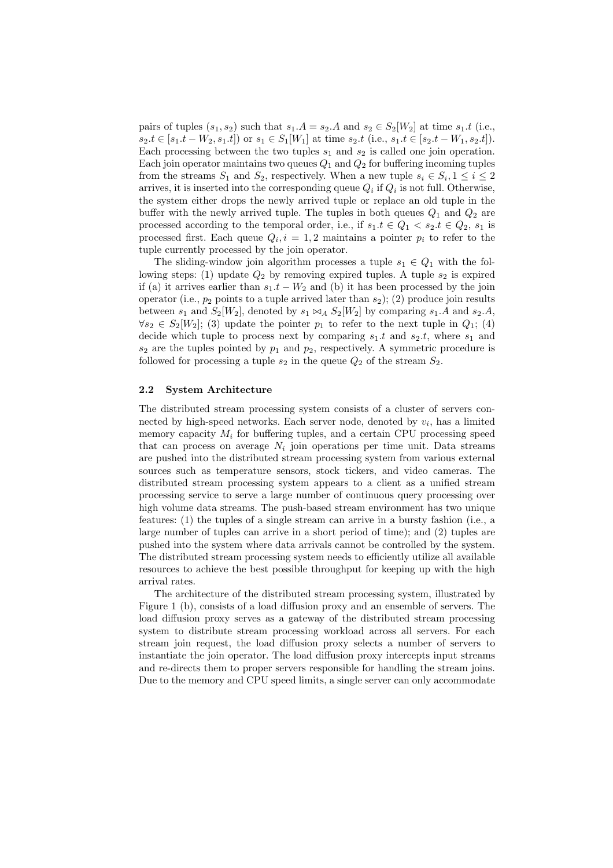pairs of tuples  $(s_1, s_2)$  such that  $s_1.A = s_2.A$  and  $s_2 \in S_2[W_2]$  at time  $s_1.t$  (i.e.,  $s_2.t \in [s_1.t - W_2, s_1.t])$  or  $s_1 \in S_1[W_1]$  at time  $s_2.t$  (i.e.,  $s_1.t \in [s_2.t - W_1, s_2.t]$ ). Each processing between the two tuples  $s_1$  and  $s_2$  is called one join operation. Each join operator maintains two queues  $Q_1$  and  $Q_2$  for buffering incoming tuples from the streams  $S_1$  and  $S_2$ , respectively. When a new tuple  $s_i \in S_i, 1 \leq i \leq 2$ arrives, it is inserted into the corresponding queue  $Q_i$  if  $Q_i$  is not full. Otherwise, the system either drops the newly arrived tuple or replace an old tuple in the buffer with the newly arrived tuple. The tuples in both queues  $Q_1$  and  $Q_2$  are processed according to the temporal order, i.e., if  $s_1 \cdot t \in Q_1 \lt s_2 \cdot t \in Q_2$ ,  $s_1$  is processed first. Each queue  $Q_i, i = 1, 2$  maintains a pointer  $p_i$  to refer to the tuple currently processed by the join operator.

The sliding-window join algorithm processes a tuple  $s_1 \in Q_1$  with the following steps: (1) update  $Q_2$  by removing expired tuples. A tuple  $s_2$  is expired if (a) it arrives earlier than  $s_1.t - W_2$  and (b) it has been processed by the join operator (i.e.,  $p_2$  points to a tuple arrived later than  $s_2$ ); (2) produce join results between  $s_1$  and  $S_2[W_2]$ , denoted by  $s_1 \bowtie_A S_2[W_2]$  by comparing  $s_1.A$  and  $s_2.A$ ,  $\forall s_2 \in S_2[W_2];$  (3) update the pointer  $p_1$  to refer to the next tuple in  $Q_1$ ; (4) decide which tuple to process next by comparing  $s_1.t$  and  $s_2.t$ , where  $s_1$  and  $s_2$  are the tuples pointed by  $p_1$  and  $p_2$ , respectively. A symmetric procedure is followed for processing a tuple  $s_2$  in the queue  $Q_2$  of the stream  $S_2$ .

#### 2.2 System Architecture

The distributed stream processing system consists of a cluster of servers connected by high-speed networks. Each server node, denoted by  $v_i$ , has a limited memory capacity  $M_i$  for buffering tuples, and a certain CPU processing speed that can process on average  $N_i$  join operations per time unit. Data streams are pushed into the distributed stream processing system from various external sources such as temperature sensors, stock tickers, and video cameras. The distributed stream processing system appears to a client as a unified stream processing service to serve a large number of continuous query processing over high volume data streams. The push-based stream environment has two unique features: (1) the tuples of a single stream can arrive in a bursty fashion (i.e., a large number of tuples can arrive in a short period of time); and (2) tuples are pushed into the system where data arrivals cannot be controlled by the system. The distributed stream processing system needs to efficiently utilize all available resources to achieve the best possible throughput for keeping up with the high arrival rates.

The architecture of the distributed stream processing system, illustrated by Figure 1 (b), consists of a load diffusion proxy and an ensemble of servers. The load diffusion proxy serves as a gateway of the distributed stream processing system to distribute stream processing workload across all servers. For each stream join request, the load diffusion proxy selects a number of servers to instantiate the join operator. The load diffusion proxy intercepts input streams and re-directs them to proper servers responsible for handling the stream joins. Due to the memory and CPU speed limits, a single server can only accommodate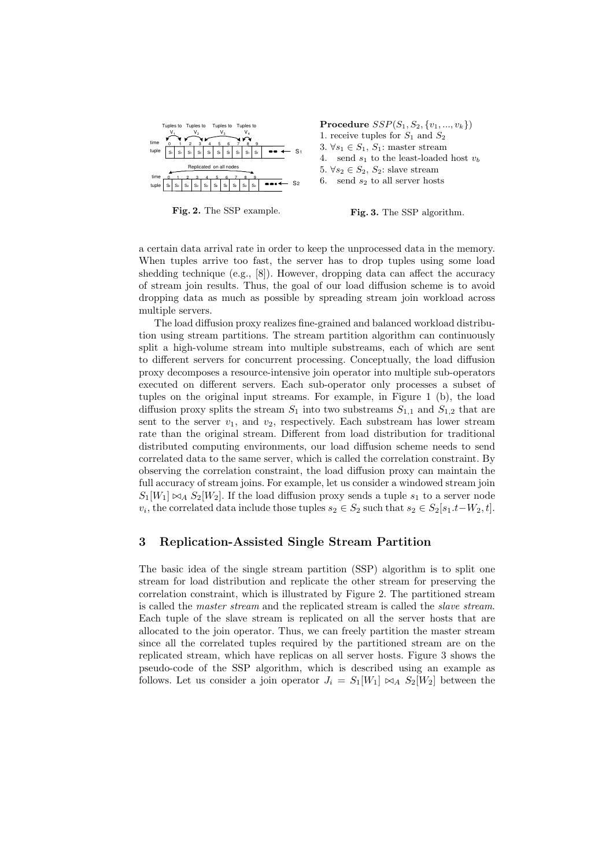

Fig. 2. The SSP example.



a certain data arrival rate in order to keep the unprocessed data in the memory. When tuples arrive too fast, the server has to drop tuples using some load shedding technique (e.g.,  $[8]$ ). However, dropping data can affect the accuracy of stream join results. Thus, the goal of our load diffusion scheme is to avoid dropping data as much as possible by spreading stream join workload across multiple servers.

The load diffusion proxy realizes fine-grained and balanced workload distribution using stream partitions. The stream partition algorithm can continuously split a high-volume stream into multiple substreams, each of which are sent to different servers for concurrent processing. Conceptually, the load diffusion proxy decomposes a resource-intensive join operator into multiple sub-operators executed on different servers. Each sub-operator only processes a subset of tuples on the original input streams. For example, in Figure 1 (b), the load diffusion proxy splits the stream  $S_1$  into two substreams  $S_{1,1}$  and  $S_{1,2}$  that are sent to the server  $v_1$ , and  $v_2$ , respectively. Each substream has lower stream rate than the original stream. Different from load distribution for traditional distributed computing environments, our load diffusion scheme needs to send correlated data to the same server, which is called the correlation constraint. By observing the correlation constraint, the load diffusion proxy can maintain the full accuracy of stream joins. For example, let us consider a windowed stream join  $S_1[W_1] \bowtie_A S_2[W_2]$ . If the load diffusion proxy sends a tuple  $s_1$  to a server node  $v_i$ , the correlated data include those tuples  $s_2 \in S_2$  such that  $s_2 \in S_2[s_1.t-W_2,t]$ .

# 3 Replication-Assisted Single Stream Partition

The basic idea of the single stream partition (SSP) algorithm is to split one stream for load distribution and replicate the other stream for preserving the correlation constraint, which is illustrated by Figure 2. The partitioned stream is called the master stream and the replicated stream is called the slave stream. Each tuple of the slave stream is replicated on all the server hosts that are allocated to the join operator. Thus, we can freely partition the master stream since all the correlated tuples required by the partitioned stream are on the replicated stream, which have replicas on all server hosts. Figure 3 shows the pseudo-code of the SSP algorithm, which is described using an example as follows. Let us consider a join operator  $J_i = S_1[W_1] \bowtie_A S_2[W_2]$  between the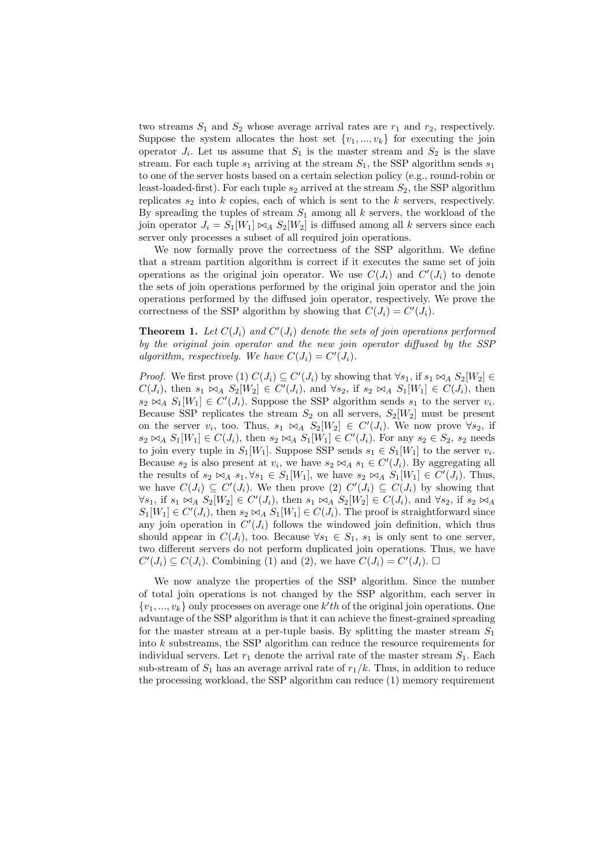two streams  $S_1$  and  $S_2$  whose average arrival rates are  $r_1$  and  $r_2$ , respectively. Suppose the system allocates the host set  $\{v_1, ..., v_k\}$  for executing the join operator  $J_i$ . Let us assume that  $S_1$  is the master stream and  $S_2$  is the slave stream. For each tuple  $s_1$  arriving at the stream  $S_1$ , the SSP algorithm sends  $s_1$ to one of the server hosts based on a certain selection policy (e.g., round-robin or least-loaded-first). For each tuple  $s_2$  arrived at the stream  $S_2$ , the SSP algorithm replicates  $s_2$  into k copies, each of which is sent to the k servers, respectively. By spreading the tuples of stream  $S_1$  among all k servers, the workload of the join operator  $J_i = S_1[W_1] \bowtie_A S_2[W_2]$  is diffused among all k servers since each server only processes a subset of all required join operations.

We now formally prove the correctness of the SSP algorithm. We define that a stream partition algorithm is correct if it executes the same set of join operations as the original join operator. We use  $C(J_i)$  and  $C'(J_i)$  to denote the sets of join operations performed by the original join operator and the join operations performed by the diffused join operator, respectively. We prove the correctness of the SSP algorithm by showing that  $C(J_i) = C'(J_i)$ .

**Theorem 1.** Let  $C(J_i)$  and  $C'(J_i)$  denote the sets of join operations performed by the original join operator and the new join operator diffused by the SSP algorithm, respectively. We have  $C(J_i) = C'(J_i)$ .

*Proof.* We first prove (1)  $C(J_i) \subseteq C'(J_i)$  by showing that  $\forall s_1$ , if  $s_1 \bowtie_A S_2[W_2] \in$  $C(J_i)$ , then  $s_1 \bowtie_A S_2[W_2] \in C'(J_i)$ , and  $\forall s_2$ , if  $s_2 \bowtie_A S_1[W_1] \in C(J_i)$ , then  $s_2 \bowtie_A S_1[W_1] \in C'(J_i)$ . Suppose the SSP algorithm sends  $s_1$  to the server  $v_i$ . Because SSP replicates the stream  $S_2$  on all servers,  $S_2[W_2]$  must be present on the server  $v_i$ , too. Thus,  $s_1 \bowtie_A S_2[W_2] \in C'(J_i)$ . We now prove  $\forall s_2$ , if  $s_2 \bowtie_A S_1[W_1] \in C(J_i)$ , then  $s_2 \bowtie_A S_1[W_1] \in C'(J_i)$ . For any  $s_2 \in S_2$ ,  $s_2$  needs to join every tuple in  $S_1[W_1]$ . Suppose SSP sends  $s_1 \in S_1[W_1]$  to the server  $v_i$ . Because  $s_2$  is also present at  $v_i$ , we have  $s_2 \bowtie_A s_1 \in C'(J_i)$ . By aggregating all the results of  $s_2 \bowtie_A s_1, \forall s_1 \in S_1[W_1]$ , we have  $s_2 \bowtie_A S_1[W_1] \in C'(J_i)$ . Thus, we have  $C(J_i) \subseteq C'(J_i)$ . We then prove (2)  $C'(J_i) \subseteq C(J_i)$  by showing that  $\forall s_1$ , if  $s_1 \bowtie_A S_2[W_2] \in C'(J_i)$ , then  $s_1 \bowtie_A S_2[W_2] \in C(J_i)$ , and  $\forall s_2$ , if  $s_2 \bowtie_A S_2[W_2]$  $S_1[W_1] \in C'(J_i)$ , then  $s_2 \bowtie_A S_1[W_1] \in C(J_i)$ . The proof is straightforward since any join operation in  $C'(J_i)$  follows the windowed join definition, which thus should appear in  $C(J_i)$ , too. Because  $\forall s_1 \in S_1$ ,  $s_1$  is only sent to one server, two different servers do not perform duplicated join operations. Thus, we have  $C'(J_i) \subseteq C(J_i)$ . Combining (1) and (2), we have  $C(J_i) = C'(J_i)$ .  $\Box$ 

We now analyze the properties of the SSP algorithm. Since the number of total join operations is not changed by the SSP algorithm, each server in  $\{v_1, ..., v_k\}$  only processes on average one  $k'$ th of the original join operations. One advantage of the SSP algorithm is that it can achieve the finest-grained spreading for the master stream at a per-tuple basis. By splitting the master stream  $S_1$ into  $k$  substreams, the SSP algorithm can reduce the resource requirements for individual servers. Let  $r_1$  denote the arrival rate of the master stream  $S_1$ . Each sub-stream of  $S_1$  has an average arrival rate of  $r_1/k$ . Thus, in addition to reduce the processing workload, the SSP algorithm can reduce (1) memory requirement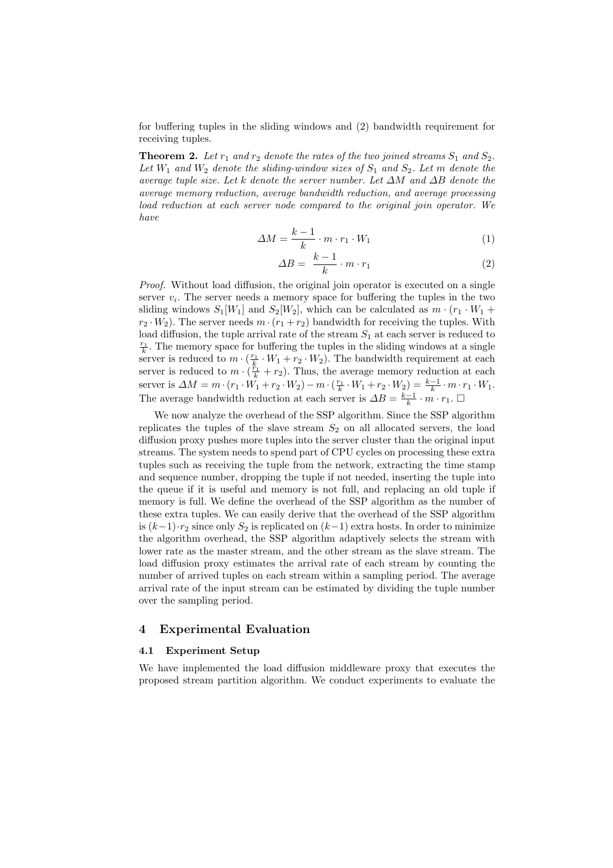for buffering tuples in the sliding windows and (2) bandwidth requirement for receiving tuples.

**Theorem 2.** Let  $r_1$  and  $r_2$  denote the rates of the two joined streams  $S_1$  and  $S_2$ . Let  $W_1$  and  $W_2$  denote the sliding-window sizes of  $S_1$  and  $S_2$ . Let m denote the average tuple size. Let k denote the server number. Let  $\Delta M$  and  $\Delta B$  denote the average memory reduction, average bandwidth reduction, and average processing load reduction at each server node compared to the original join operator. We have

$$
\Delta M = \frac{k-1}{k} \cdot m \cdot r_1 \cdot W_1 \tag{1}
$$

$$
\Delta B = \frac{k-1}{k} \cdot m \cdot r_1 \tag{2}
$$

Proof. Without load diffusion, the original join operator is executed on a single server  $v_i$ . The server needs a memory space for buffering the tuples in the two sliding windows  $S_1[W_1]$  and  $S_2[W_2]$ , which can be calculated as  $m \cdot (r_1 \cdot W_1 +$  $r_2 \cdot W_2$ ). The server needs  $m \cdot (r_1 + r_2)$  bandwidth for receiving the tuples. With load diffusion, the tuple arrival rate of the stream  $S_1$  at each server is reduced to  $\frac{r_1}{k}$ . The memory space for buffering the tuples in the sliding windows at a single  $\frac{1}{k}$ . The memory space for bunding the tuples in the shall windows at a single server is reduced to  $m \cdot (\frac{r_1}{k} \cdot W_1 + r_2 \cdot W_2)$ . The bandwidth requirement at each server is reduced to  $m \cdot (\frac{r_1}{k} + r_2)$ . Thus, the average memory reduction at each server is  $\Delta M = m \cdot (r_1 \cdot W_1 + r_2 \cdot W_2) - m \cdot (\frac{r_1}{k} \cdot W_1 + r_2 \cdot W_2) = \frac{k-1}{k} \cdot m \cdot r_1 \cdot W_1$ . The average bandwidth reduction at each server is  $\Delta B = \frac{k-1}{k} \cdot m \cdot r_1$ .  $\Box$ 

We now analyze the overhead of the SSP algorithm. Since the SSP algorithm replicates the tuples of the slave stream  $S_2$  on all allocated servers, the load diffusion proxy pushes more tuples into the server cluster than the original input streams. The system needs to spend part of CPU cycles on processing these extra tuples such as receiving the tuple from the network, extracting the time stamp and sequence number, dropping the tuple if not needed, inserting the tuple into the queue if it is useful and memory is not full, and replacing an old tuple if memory is full. We define the overhead of the SSP algorithm as the number of these extra tuples. We can easily derive that the overhead of the SSP algorithm is  $(k-1)\cdot r_2$  since only  $S_2$  is replicated on  $(k-1)$  extra hosts. In order to minimize the algorithm overhead, the SSP algorithm adaptively selects the stream with lower rate as the master stream, and the other stream as the slave stream. The load diffusion proxy estimates the arrival rate of each stream by counting the number of arrived tuples on each stream within a sampling period. The average arrival rate of the input stream can be estimated by dividing the tuple number over the sampling period.

### 4 Experimental Evaluation

#### 4.1 Experiment Setup

We have implemented the load diffusion middleware proxy that executes the proposed stream partition algorithm. We conduct experiments to evaluate the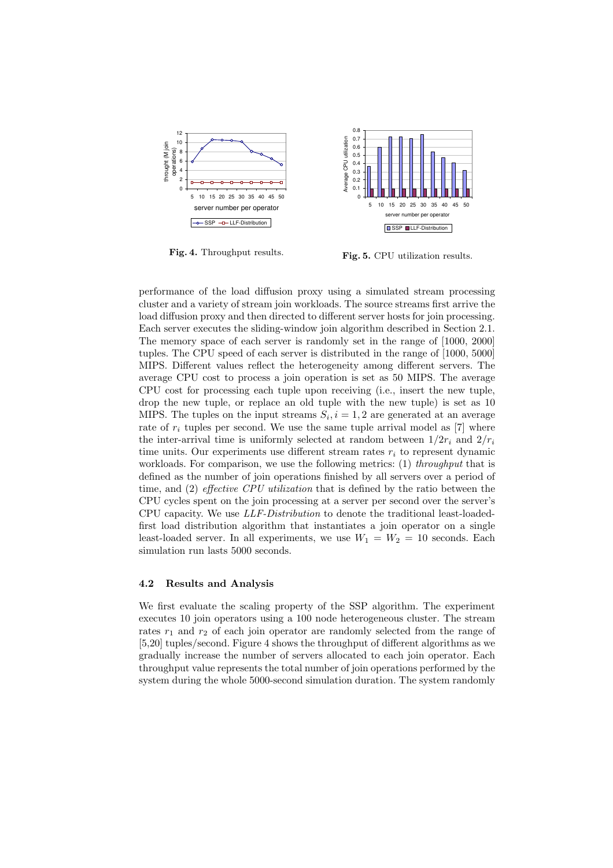

Fig. 4. Throughput results.

Fig. 5. CPU utilization results.

performance of the load diffusion proxy using a simulated stream processing cluster and a variety of stream join workloads. The source streams first arrive the load diffusion proxy and then directed to different server hosts for join processing. Each server executes the sliding-window join algorithm described in Section 2.1. The memory space of each server is randomly set in the range of [1000, 2000] tuples. The CPU speed of each server is distributed in the range of [1000, 5000] MIPS. Different values reflect the heterogeneity among different servers. The average CPU cost to process a join operation is set as 50 MIPS. The average CPU cost for processing each tuple upon receiving (i.e., insert the new tuple, drop the new tuple, or replace an old tuple with the new tuple) is set as 10 MIPS. The tuples on the input streams  $S_i$ ,  $i = 1, 2$  are generated at an average rate of  $r_i$  tuples per second. We use the same tuple arrival model as [7] where the inter-arrival time is uniformly selected at random between  $1/2r_i$  and  $2/r_i$ time units. Our experiments use different stream rates  $r_i$  to represent dynamic workloads. For comparison, we use the following metrics:  $(1)$  throughput that is defined as the number of join operations finished by all servers over a period of time, and (2) *effective CPU utilization* that is defined by the ratio between the CPU cycles spent on the join processing at a server per second over the server's CPU capacity. We use LLF-Distribution to denote the traditional least-loadedfirst load distribution algorithm that instantiates a join operator on a single least-loaded server. In all experiments, we use  $W_1 = W_2 = 10$  seconds. Each simulation run lasts 5000 seconds.

#### 4.2 Results and Analysis

We first evaluate the scaling property of the SSP algorithm. The experiment executes 10 join operators using a 100 node heterogeneous cluster. The stream rates  $r_1$  and  $r_2$  of each join operator are randomly selected from the range of [5,20] tuples/second. Figure 4 shows the throughput of different algorithms as we gradually increase the number of servers allocated to each join operator. Each throughput value represents the total number of join operations performed by the system during the whole 5000-second simulation duration. The system randomly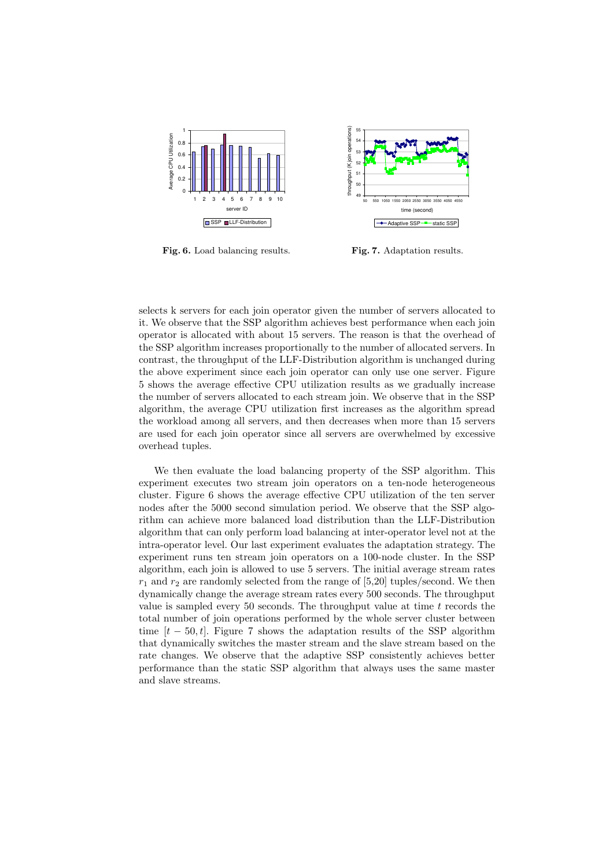

Fig. 6. Load balancing results.

Fig. 7. Adaptation results.

selects k servers for each join operator given the number of servers allocated to it. We observe that the SSP algorithm achieves best performance when each join operator is allocated with about 15 servers. The reason is that the overhead of the SSP algorithm increases proportionally to the number of allocated servers. In contrast, the throughput of the LLF-Distribution algorithm is unchanged during the above experiment since each join operator can only use one server. Figure 5 shows the average effective CPU utilization results as we gradually increase the number of servers allocated to each stream join. We observe that in the SSP algorithm, the average CPU utilization first increases as the algorithm spread the workload among all servers, and then decreases when more than 15 servers are used for each join operator since all servers are overwhelmed by excessive overhead tuples.

We then evaluate the load balancing property of the SSP algorithm. This experiment executes two stream join operators on a ten-node heterogeneous cluster. Figure 6 shows the average effective CPU utilization of the ten server nodes after the 5000 second simulation period. We observe that the SSP algorithm can achieve more balanced load distribution than the LLF-Distribution algorithm that can only perform load balancing at inter-operator level not at the intra-operator level. Our last experiment evaluates the adaptation strategy. The experiment runs ten stream join operators on a 100-node cluster. In the SSP algorithm, each join is allowed to use 5 servers. The initial average stream rates  $r_1$  and  $r_2$  are randomly selected from the range of [5,20] tuples/second. We then dynamically change the average stream rates every 500 seconds. The throughput value is sampled every  $50$  seconds. The throughput value at time  $t$  records the total number of join operations performed by the whole server cluster between time  $[t - 50, t]$ . Figure 7 shows the adaptation results of the SSP algorithm that dynamically switches the master stream and the slave stream based on the rate changes. We observe that the adaptive SSP consistently achieves better performance than the static SSP algorithm that always uses the same master and slave streams.